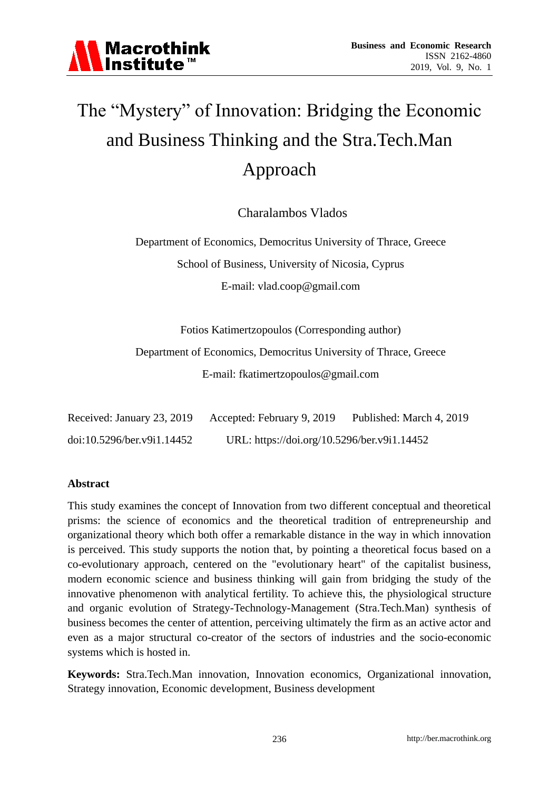# The "Mystery" of Innovation: Bridging the Economic and Business Thinking and the Stra.Tech.Man Approach

Charalambos Vlados

Department of Economics, Democritus University of Thrace, Greece School of Business, University of Nicosia, Cyprus E-mail: vlad.coop@gmail.com

Fotios Katimertzopoulos (Corresponding author)

Department of Economics, Democritus University of Thrace, Greece E-mail: fkatimertzopoulos@gmail.com

| Received: January 23, 2019 | Accepted: February 9, 2019                  | Published: March 4, 2019 |
|----------------------------|---------------------------------------------|--------------------------|
| doi:10.5296/ber.v9i1.14452 | URL: https://doi.org/10.5296/ber.v9i1.14452 |                          |

## **Abstract**

This study examines the concept of Innovation from two different conceptual and theoretical prisms: the science of economics and the theoretical tradition of entrepreneurship and organizational theory which both offer a remarkable distance in the way in which innovation is perceived. This study supports the notion that, by pointing a theoretical focus based on a co-evolutionary approach, centered on the "evolutionary heart" of the capitalist business, modern economic science and business thinking will gain from bridging the study of the innovative phenomenon with analytical fertility. To achieve this, the physiological structure and organic evolution of Strategy-Technology-Management (Stra.Tech.Man) synthesis of business becomes the center of attention, perceiving ultimately the firm as an active actor and even as a major structural co-creator of the sectors of industries and the socio-economic systems which is hosted in.

**Keywords:** Stra.Tech.Man innovation, Innovation economics, Organizational innovation, Strategy innovation, Economic development, Business development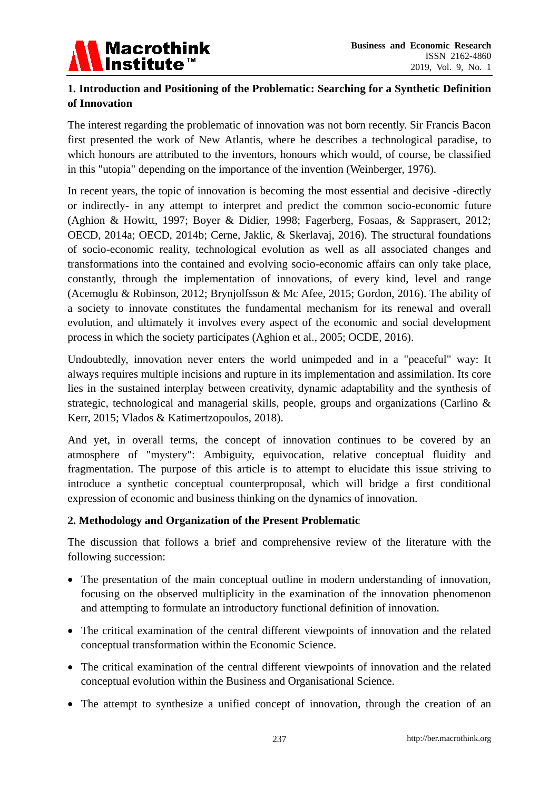

# **1. Introduction and Positioning of the Problematic: Searching for a Synthetic Definition of Innovation**

The interest regarding the problematic of innovation was not born recently. Sir Francis Bacon first presented the work of New Atlantis, where he describes a technological paradise, to which honours are attributed to the inventors, honours which would, of course, be classified in this "utopia" depending on the importance of the invention (Weinberger, 1976).

In recent years, the topic of innovation is becoming the most essential and decisive -directly or indirectly- in any attempt to interpret and predict the common socio-economic future (Aghion & Howitt, 1997; Boyer & Didier, 1998; Fagerberg, Fosaas, & Sapprasert, 2012; OECD, 2014a; OECD, 2014b; Cerne, Jaklic, & Skerlavaj, 2016). The structural foundations of socio-economic reality, technological evolution as well as all associated changes and transformations into the contained and evolving socio-economic affairs can only take place, constantly, through the implementation of innovations, of every kind, level and range (Acemoglu & Robinson, 2012; Brynjolfsson & Mc Afee, 2015; Gordon, 2016). The ability of a society to innovate constitutes the fundamental mechanism for its renewal and overall evolution, and ultimately it involves every aspect of the economic and social development process in which the society participates (Aghion et al., 2005; OCDE, 2016).

Undoubtedly, innovation never enters the world unimpeded and in a "peaceful" way: It always requires multiple incisions and rupture in its implementation and assimilation. Its core lies in the sustained interplay between creativity, dynamic adaptability and the synthesis of strategic, technological and managerial skills, people, groups and organizations (Carlino & Kerr, 2015; Vlados & Katimertzopoulos, 2018).

And yet, in overall terms, the concept of innovation continues to be covered by an atmosphere of "mystery": Ambiguity, equivocation, relative conceptual fluidity and fragmentation. The purpose of this article is to attempt to elucidate this issue striving to introduce a synthetic conceptual counterproposal, which will bridge a first conditional expression of economic and business thinking on the dynamics of innovation.

## **2. Methodology and Organization of the Present Problematic**

The discussion that follows a brief and comprehensive review of the literature with the following succession:

- The presentation of the main conceptual outline in modern understanding of innovation, focusing on the observed multiplicity in the examination of the innovation phenomenon and attempting to formulate an introductory functional definition of innovation.
- The critical examination of the central different viewpoints of innovation and the related conceptual transformation within the Economic Science.
- The critical examination of the central different viewpoints of innovation and the related conceptual evolution within the Business and Organisational Science.
- The attempt to synthesize a unified concept of innovation, through the creation of an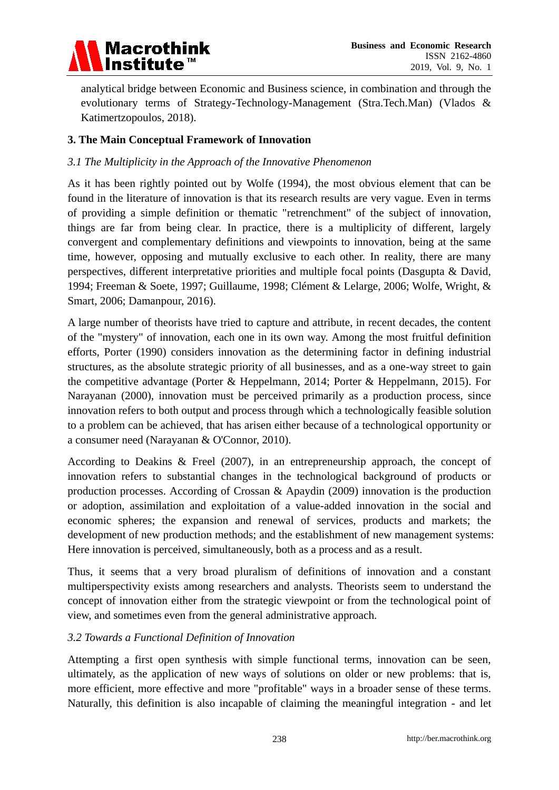

analytical bridge between Economic and Business science, in combination and through the evolutionary terms of Strategy-Technology-Management (Stra.Tech.Man) (Vlados & Katimertzopoulos, 2018).

# **3. The Main Conceptual Framework of Innovation**

#### *3.1 The Multiplicity in the Approach of the Innovative Phenomenon*

As it has been rightly pointed out by Wolfe (1994), the most obvious element that can be found in the literature of innovation is that its research results are very vague. Even in terms of providing a simple definition or thematic "retrenchment" of the subject of innovation, things are far from being clear. In practice, there is a multiplicity of different, largely convergent and complementary definitions and viewpoints to innovation, being at the same time, however, opposing and mutually exclusive to each other. In reality, there are many perspectives, different interpretative priorities and multiple focal points (Dasgupta & David, 1994; Freeman & Soete, 1997; Guillaume, 1998; Clément & Lelarge, 2006; Wolfe, Wright, & Smart, 2006; Damanpour, 2016).

A large number of theorists have tried to capture and attribute, in recent decades, the content of the "mystery" of innovation, each one in its own way. Among the most fruitful definition efforts, Porter (1990) considers innovation as the determining factor in defining industrial structures, as the absolute strategic priority of all businesses, and as a one-way street to gain the competitive advantage (Porter & Heppelmann, 2014; Porter & Heppelmann, 2015). For Narayanan (2000), innovation must be perceived primarily as a production process, since innovation refers to both output and process through which a technologically feasible solution to a problem can be achieved, that has arisen either because of a technological opportunity or a consumer need (Narayanan & O'Connor, 2010).

According to Deakins & Freel (2007), in an entrepreneurship approach, the concept of innovation refers to substantial changes in the technological background of products or production processes. According of Crossan & Apaydin (2009) innovation is the production or adoption, assimilation and exploitation of a value-added innovation in the social and economic spheres; the expansion and renewal of services, products and markets; the development of new production methods; and the establishment of new management systems: Here innovation is perceived, simultaneously, both as a process and as a result.

Thus, it seems that a very broad pluralism of definitions of innovation and a constant multiperspectivity exists among researchers and analysts. Theorists seem to understand the concept of innovation either from the strategic viewpoint or from the technological point of view, and sometimes even from the general administrative approach.

#### *3.2 Towards a Functional Definition of Innovation*

Attempting a first open synthesis with simple functional terms, innovation can be seen, ultimately, as the application of new ways of solutions on older or new problems: that is, more efficient, more effective and more "profitable" ways in a broader sense of these terms. Naturally, this definition is also incapable of claiming the meaningful integration - and let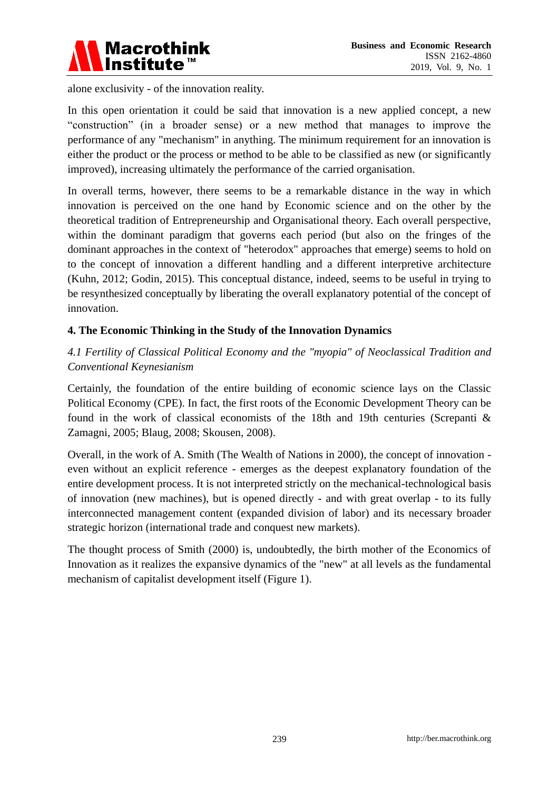

alone exclusivity - of the innovation reality.

In this open orientation it could be said that innovation is a new applied concept, a new ―construction‖ (in a broader sense) or a new method that manages to improve the performance of any "mechanism" in anything. The minimum requirement for an innovation is either the product or the process or method to be able to be classified as new (or significantly improved), increasing ultimately the performance of the carried organisation.

In overall terms, however, there seems to be a remarkable distance in the way in which innovation is perceived on the one hand by Economic science and on the other by the theoretical tradition of Entrepreneurship and Organisational theory. Each overall perspective, within the dominant paradigm that governs each period (but also on the fringes of the dominant approaches in the context of "heterodox" approaches that emerge) seems to hold on to the concept of innovation a different handling and a different interpretive architecture (Kuhn, 2012; Godin, 2015). This conceptual distance, indeed, seems to be useful in trying to be resynthesized conceptually by liberating the overall explanatory potential of the concept of innovation.

## **4. The Economic Thinking in the Study of the Innovation Dynamics**

*4.1 Fertility of Classical Political Economy and the "myopia" of Neoclassical Tradition and Conventional Keynesianism*

Certainly, the foundation of the entire building of economic science lays on the Classic Political Economy (CPE). In fact, the first roots of the Economic Development Theory can be found in the work of classical economists of the 18th and 19th centuries (Screpanti & Zamagni, 2005; Blaug, 2008; Skousen, 2008).

Overall, in the work of A. Smith (The Wealth of Nations in 2000), the concept of innovation even without an explicit reference - emerges as the deepest explanatory foundation of the entire development process. It is not interpreted strictly on the mechanical-technological basis of innovation (new machines), but is opened directly - and with great overlap - to its fully interconnected management content (expanded division of labor) and its necessary broader strategic horizon (international trade and conquest new markets).

The thought process of Smith (2000) is, undoubtedly, the birth mother of the Economics of Innovation as it realizes the expansive dynamics of the "new" at all levels as the fundamental mechanism of capitalist development itself (Figure 1).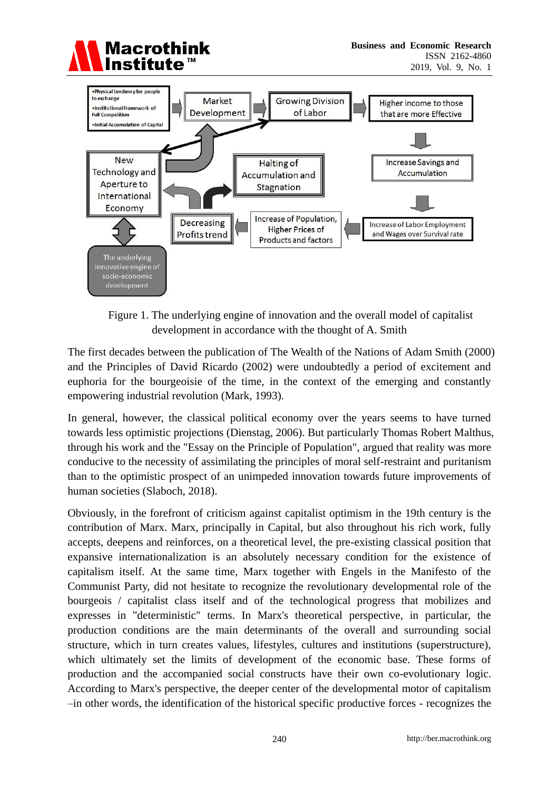



Figure 1. The underlying engine of innovation and the overall model of capitalist development in accordance with the thought of A. Smith

The first decades between the publication of The Wealth of the Nations of Adam Smith (2000) and the Principles of David Ricardo (2002) were undoubtedly a period of excitement and euphoria for the bourgeoisie of the time, in the context of the emerging and constantly empowering industrial revolution (Mark, 1993).

In general, however, the classical political economy over the years seems to have turned towards less optimistic projections (Dienstag, 2006). But particularly Thomas Robert Malthus, through his work and the "Essay on the Principle of Population", argued that reality was more conducive to the necessity of assimilating the principles of moral self-restraint and puritanism than to the optimistic prospect of an unimpeded innovation towards future improvements of human societies (Slaboch, 2018).

Obviously, in the forefront of criticism against capitalist optimism in the 19th century is the contribution of Marx. Marx, principally in Capital, but also throughout his rich work, fully accepts, deepens and reinforces, on a theoretical level, the pre-existing classical position that expansive internationalization is an absolutely necessary condition for the existence of capitalism itself. At the same time, Marx together with Engels in the Manifesto of the Communist Party, did not hesitate to recognize the revolutionary developmental role of the bourgeois / capitalist class itself and of the technological progress that mobilizes and expresses in "deterministic" terms. In Marx's theoretical perspective, in particular, the production conditions are the main determinants of the overall and surrounding social structure, which in turn creates values, lifestyles, cultures and institutions (superstructure), which ultimately set the limits of development of the economic base. These forms of production and the accompanied social constructs have their own co-evolutionary logic. According to Marx's perspective, the deeper center of the developmental motor of capitalism –in other words, the identification of the historical specific productive forces - recognizes the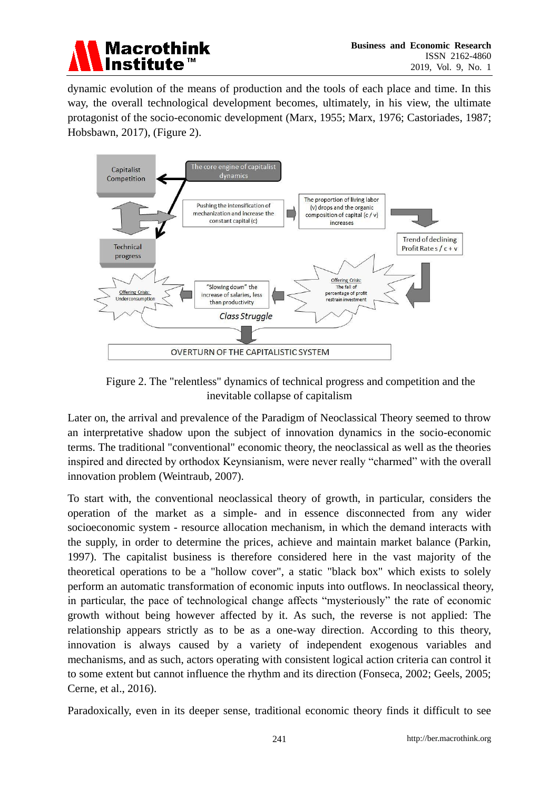

dynamic evolution of the means of production and the tools of each place and time. In this way, the overall technological development becomes, ultimately, in his view, the ultimate protagonist of the socio-economic development (Marx, 1955; Marx, 1976; Castoriades, 1987; Hobsbawn, 2017), (Figure 2).



Figure 2. The "relentless" dynamics of technical progress and competition and the inevitable collapse of capitalism

Later on, the arrival and prevalence of the Paradigm of Neoclassical Theory seemed to throw an interpretative shadow upon the subject of innovation dynamics in the socio-economic terms. The traditional "conventional" economic theory, the neoclassical as well as the theories inspired and directed by orthodox Keynsianism, were never really "charmed" with the overall innovation problem (Weintraub, 2007).

To start with, the conventional neoclassical theory of growth, in particular, considers the operation of the market as a simple- and in essence disconnected from any wider socioeconomic system - resource allocation mechanism, in which the demand interacts with the supply, in order to determine the prices, achieve and maintain market balance (Parkin, 1997). The capitalist business is therefore considered here in the vast majority of the theoretical operations to be a "hollow cover", a static "black box" which exists to solely perform an automatic transformation of economic inputs into outflows. In neoclassical theory, in particular, the pace of technological change affects "mysteriously" the rate of economic growth without being however affected by it. As such, the reverse is not applied: The relationship appears strictly as to be as a one-way direction. According to this theory, innovation is always caused by a variety of independent exogenous variables and mechanisms, and as such, actors operating with consistent logical action criteria can control it to some extent but cannot influence the rhythm and its direction (Fonseca, 2002; Geels, 2005; Cerne, et al., 2016).

Paradoxically, even in its deeper sense, traditional economic theory finds it difficult to see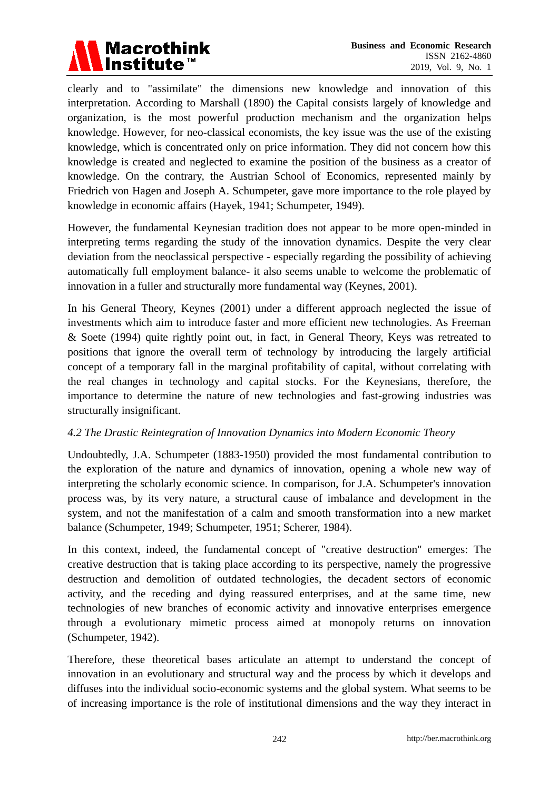

clearly and to "assimilate" the dimensions new knowledge and innovation of this interpretation. According to Marshall (1890) the Capital consists largely of knowledge and organization, is the most powerful production mechanism and the organization helps knowledge. However, for neo-classical economists, the key issue was the use of the existing knowledge, which is concentrated only on price information. They did not concern how this knowledge is created and neglected to examine the position of the business as a creator of knowledge. On the contrary, the Austrian School of Economics, represented mainly by Friedrich von Hagen and Joseph A. Schumpeter, gave more importance to the role played by knowledge in economic affairs (Hayek, 1941; Schumpeter, 1949).

However, the fundamental Keynesian tradition does not appear to be more open-minded in interpreting terms regarding the study of the innovation dynamics. Despite the very clear deviation from the neoclassical perspective - especially regarding the possibility of achieving automatically full employment balance- it also seems unable to welcome the problematic of innovation in a fuller and structurally more fundamental way (Keynes, 2001).

In his General Theory, Keynes (2001) under a different approach neglected the issue of investments which aim to introduce faster and more efficient new technologies. As Freeman & Soete (1994) quite rightly point out, in fact, in General Theory, Keys was retreated to positions that ignore the overall term of technology by introducing the largely artificial concept of a temporary fall in the marginal profitability of capital, without correlating with the real changes in technology and capital stocks. For the Keynesians, therefore, the importance to determine the nature of new technologies and fast-growing industries was structurally insignificant.

#### *4.2 The Drastic Reintegration of Innovation Dynamics into Modern Economic Theory*

Undoubtedly, J.A. Schumpeter (1883-1950) provided the most fundamental contribution to the exploration of the nature and dynamics of innovation, opening a whole new way of interpreting the scholarly economic science. In comparison, for J.A. Schumpeter's innovation process was, by its very nature, a structural cause of imbalance and development in the system, and not the manifestation of a calm and smooth transformation into a new market balance (Schumpeter, 1949; Schumpeter, 1951; Scherer, 1984).

In this context, indeed, the fundamental concept of "creative destruction" emerges: The creative destruction that is taking place according to its perspective, namely the progressive destruction and demolition of outdated technologies, the decadent sectors of economic activity, and the receding and dying reassured enterprises, and at the same time, new technologies of new branches of economic activity and innovative enterprises emergence through a evolutionary mimetic process aimed at monopoly returns on innovation (Schumpeter, 1942).

Therefore, these theoretical bases articulate an attempt to understand the concept of innovation in an evolutionary and structural way and the process by which it develops and diffuses into the individual socio-economic systems and the global system. What seems to be of increasing importance is the role of institutional dimensions and the way they interact in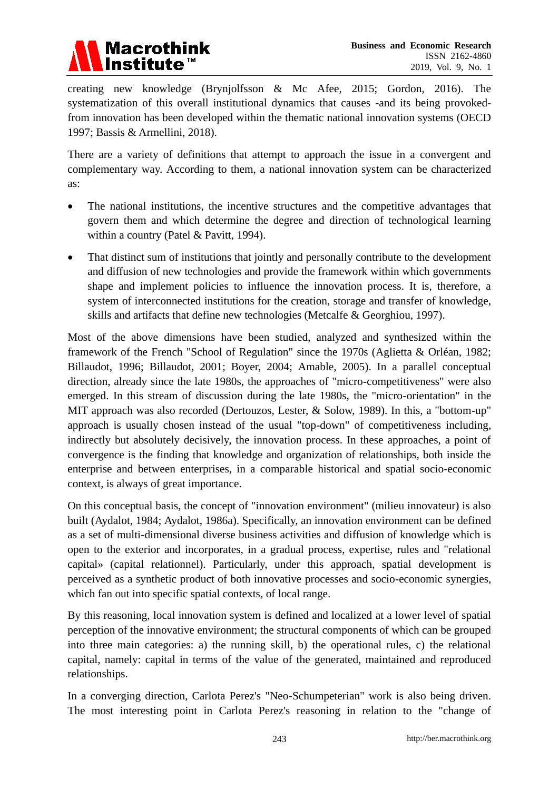

creating new knowledge (Brynjolfsson & Mc Afee, 2015; Gordon, 2016). The systematization of this overall institutional dynamics that causes -and its being provokedfrom innovation has been developed within the thematic national innovation systems (OECD 1997; Bassis & Armellini, 2018).

There are a variety of definitions that attempt to approach the issue in a convergent and complementary way. According to them, a national innovation system can be characterized as:

- The national institutions, the incentive structures and the competitive advantages that govern them and which determine the degree and direction of technological learning within a country (Patel & Pavitt, 1994).
- That distinct sum of institutions that jointly and personally contribute to the development and diffusion of new technologies and provide the framework within which governments shape and implement policies to influence the innovation process. It is, therefore, a system of interconnected institutions for the creation, storage and transfer of knowledge, skills and artifacts that define new technologies (Metcalfe & Georghiou, 1997).

Most of the above dimensions have been studied, analyzed and synthesized within the framework of the French "School of Regulation" since the 1970s (Aglietta & Orléan, 1982; Billaudot, 1996; Billaudot, 2001; Boyer, 2004; Amable, 2005). In a parallel conceptual direction, already since the late 1980s, the approaches of "micro-competitiveness" were also emerged. In this stream of discussion during the late 1980s, the "micro-orientation" in the MIT approach was also recorded (Dertouzos, Lester, & Solow, 1989). In this, a "bottom-up" approach is usually chosen instead of the usual "top-down" of competitiveness including, indirectly but absolutely decisively, the innovation process. In these approaches, a point of convergence is the finding that knowledge and organization of relationships, both inside the enterprise and between enterprises, in a comparable historical and spatial socio-economic context, is always of great importance.

On this conceptual basis, the concept of "innovation environment" (milieu innovateur) is also built (Aydalot, 1984; Aydalot, 1986a). Specifically, an innovation environment can be defined as a set of multi-dimensional diverse business activities and diffusion of knowledge which is open to the exterior and incorporates, in a gradual process, expertise, rules and "relational capital» (capital relationnel). Particularly, under this approach, spatial development is perceived as a synthetic product of both innovative processes and socio-economic synergies, which fan out into specific spatial contexts, of local range.

By this reasoning, local innovation system is defined and localized at a lower level of spatial perception of the innovative environment; the structural components of which can be grouped into three main categories: a) the running skill, b) the operational rules, c) the relational capital, namely: capital in terms of the value of the generated, maintained and reproduced relationships.

In a converging direction, Carlota Perez's "Neo-Schumpeterian" work is also being driven. The most interesting point in Carlota Perez's reasoning in relation to the "change of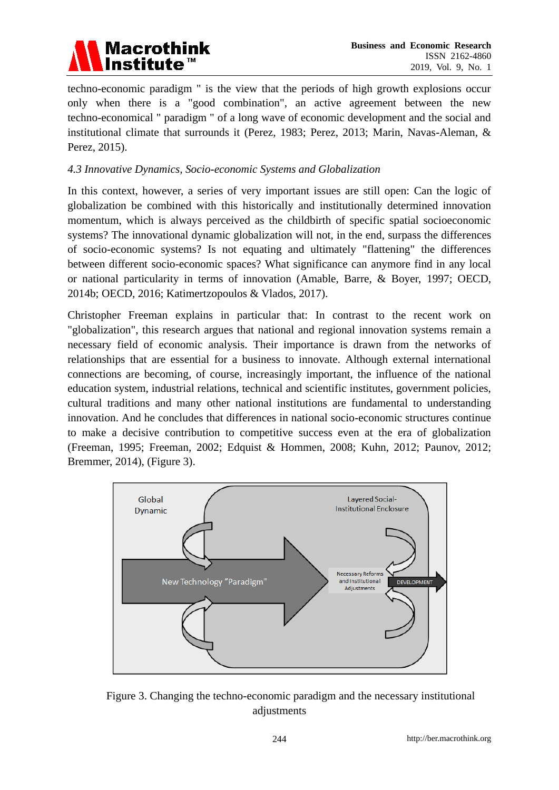

techno-economic paradigm " is the view that the periods of high growth explosions occur only when there is a "good combination", an active agreement between the new techno-economical " paradigm " of a long wave of economic development and the social and institutional climate that surrounds it (Perez, 1983; Perez, 2013; Marin, Navas-Aleman, & Perez, 2015).

## *4.3 Innovative Dynamics, Socio-economic Systems and Globalization*

In this context, however, a series of very important issues are still open: Can the logic of globalization be combined with this historically and institutionally determined innovation momentum, which is always perceived as the childbirth of specific spatial socioeconomic systems? The innovational dynamic globalization will not, in the end, surpass the differences of socio-economic systems? Is not equating and ultimately "flattening" the differences between different socio-economic spaces? What significance can anymore find in any local or national particularity in terms of innovation (Amable, Barre, & Boyer, 1997; OECD, 2014b; OECD, 2016; Katimertzopoulos & Vlados, 2017).

Christopher Freeman explains in particular that: In contrast to the recent work on "globalization", this research argues that national and regional innovation systems remain a necessary field of economic analysis. Their importance is drawn from the networks of relationships that are essential for a business to innovate. Although external international connections are becoming, of course, increasingly important, the influence of the national education system, industrial relations, technical and scientific institutes, government policies, cultural traditions and many other national institutions are fundamental to understanding innovation. And he concludes that differences in national socio-economic structures continue to make a decisive contribution to competitive success even at the era of globalization (Freeman, 1995; Freeman, 2002; Edquist & Hommen, 2008; Kuhn, 2012; Paunov, 2012; Bremmer, 2014), (Figure 3).



Figure 3. Changing the techno-economic paradigm and the necessary institutional adjustments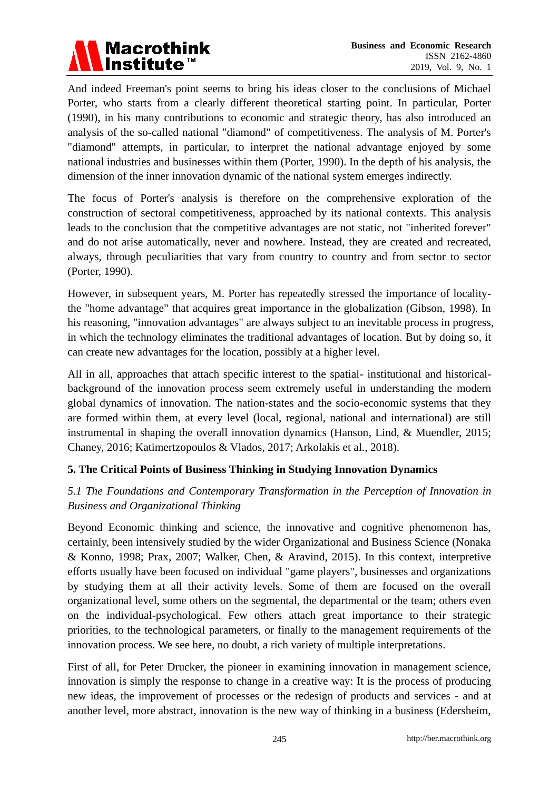

And indeed Freeman's point seems to bring his ideas closer to the conclusions of Michael Porter, who starts from a clearly different theoretical starting point. In particular, Porter (1990), in his many contributions to economic and strategic theory, has also introduced an analysis of the so-called national "diamond" of competitiveness. The analysis of M. Porter's "diamond" attempts, in particular, to interpret the national advantage enjoyed by some national industries and businesses within them (Porter, 1990). In the depth of his analysis, the dimension of the inner innovation dynamic of the national system emerges indirectly.

The focus of Porter's analysis is therefore on the comprehensive exploration of the construction of sectoral competitiveness, approached by its national contexts. This analysis leads to the conclusion that the competitive advantages are not static, not "inherited forever" and do not arise automatically, never and nowhere. Instead, they are created and recreated, always, through peculiarities that vary from country to country and from sector to sector (Porter, 1990).

However, in subsequent years, M. Porter has repeatedly stressed the importance of localitythe "home advantage" that acquires great importance in the globalization (Gibson, 1998). In his reasoning, "innovation advantages" are always subject to an inevitable process in progress, in which the technology eliminates the traditional advantages of location. But by doing so, it can create new advantages for the location, possibly at a higher level.

All in all, approaches that attach specific interest to the spatial- institutional and historicalbackground of the innovation process seem extremely useful in understanding the modern global dynamics of innovation. The nation-states and the socio-economic systems that they are formed within them, at every level (local, regional, national and international) are still instrumental in shaping the overall innovation dynamics (Hanson, Lind, & Muendler, 2015; Chaney, 2016; Katimertzopoulos & Vlados, 2017; Arkolakis et al., 2018).

# **5. The Critical Points of Business Thinking in Studying Innovation Dynamics**

# *5.1 The Foundations and Contemporary Transformation in the Perception of Innovation in Business and Organizational Thinking*

Beyond Economic thinking and science, the innovative and cognitive phenomenon has, certainly, been intensively studied by the wider Organizational and Business Science (Nonaka & Konno, 1998; Prax, 2007; Walker, Chen, & Aravind, 2015). In this context, interpretive efforts usually have been focused on individual "game players", businesses and organizations by studying them at all their activity levels. Some of them are focused on the overall organizational level, some others on the segmental, the departmental or the team; others even on the individual-psychological. Few others attach great importance to their strategic priorities, to the technological parameters, or finally to the management requirements of the innovation process. We see here, no doubt, a rich variety of multiple interpretations.

First of all, for Peter Drucker, the pioneer in examining innovation in management science, innovation is simply the response to change in a creative way: It is the process of producing new ideas, the improvement of processes or the redesign of products and services - and at another level, more abstract, innovation is the new way of thinking in a business (Edersheim,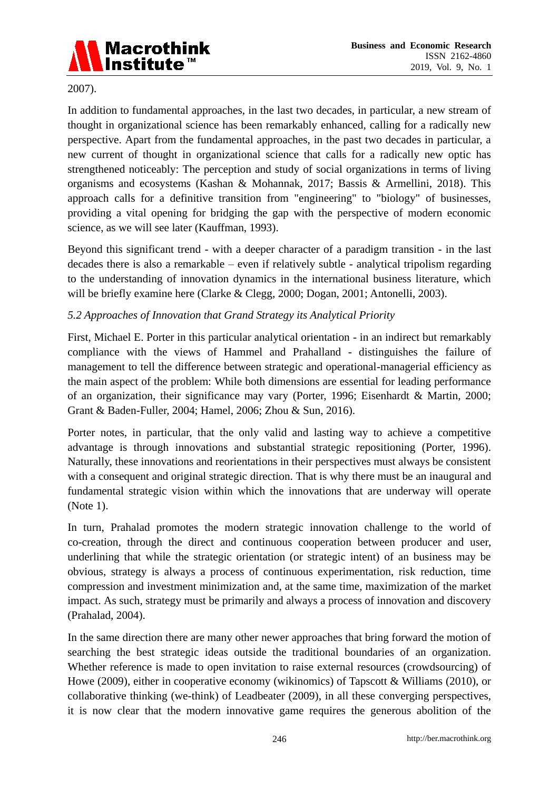

2007).

In addition to fundamental approaches, in the last two decades, in particular, a new stream of thought in organizational science has been remarkably enhanced, calling for a radically new perspective. Apart from the fundamental approaches, in the past two decades in particular, a new current of thought in organizational science that calls for a radically new optic has strengthened noticeably: The perception and study of social organizations in terms of living organisms and ecosystems (Kashan & Mohannak, 2017; Bassis & Armellini, 2018). This approach calls for a definitive transition from "engineering" to "biology" of businesses, providing a vital opening for bridging the gap with the perspective of modern economic science, as we will see later (Kauffman, 1993).

Beyond this significant trend - with a deeper character of a paradigm transition - in the last decades there is also a remarkable – even if relatively subtle - analytical tripolism regarding to the understanding of innovation dynamics in the international business literature, which will be briefly examine here (Clarke & Clegg, 2000; Dogan, 2001; Antonelli, 2003).

# *5.2 Approaches of Innovation that Grand Strategy its Analytical Priority*

First, Michael E. Porter in this particular analytical orientation - in an indirect but remarkably compliance with the views of Hammel and Prahalland - distinguishes the failure of management to tell the difference between strategic and operational-managerial efficiency as the main aspect of the problem: While both dimensions are essential for leading performance of an organization, their significance may vary (Porter, 1996; Eisenhardt & Martin, 2000; Grant & Baden-Fuller, 2004; Hamel, 2006; Zhou & Sun, 2016).

Porter notes, in particular, that the only valid and lasting way to achieve a competitive advantage is through innovations and substantial strategic repositioning (Porter, 1996). Naturally, these innovations and reorientations in their perspectives must always be consistent with a consequent and original strategic direction. That is why there must be an inaugural and fundamental strategic vision within which the innovations that are underway will operate (Note 1).

In turn, Prahalad promotes the modern strategic innovation challenge to the world of co-creation, through the direct and continuous cooperation between producer and user, underlining that while the strategic orientation (or strategic intent) of an business may be obvious, strategy is always a process of continuous experimentation, risk reduction, time compression and investment minimization and, at the same time, maximization of the market impact. As such, strategy must be primarily and always a process of innovation and discovery (Prahalad, 2004).

In the same direction there are many other newer approaches that bring forward the motion of searching the best strategic ideas outside the traditional boundaries of an organization. Whether reference is made to open invitation to raise external resources (crowdsourcing) of Howe (2009), either in cooperative economy (wikinomics) of Tapscott & Williams (2010), or collaborative thinking (we-think) of Leadbeater (2009), in all these converging perspectives, it is now clear that the modern innovative game requires the generous abolition of the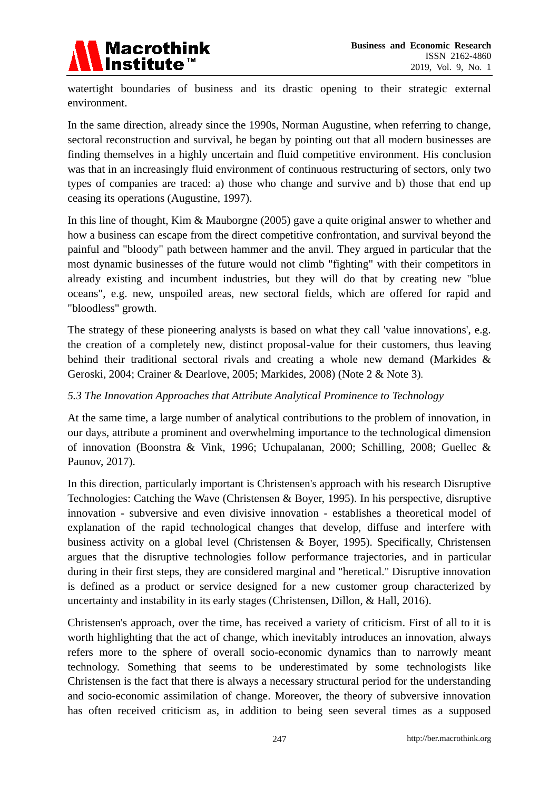

watertight boundaries of business and its drastic opening to their strategic external environment.

In the same direction, already since the 1990s, Norman Augustine, when referring to change, sectoral reconstruction and survival, he began by pointing out that all modern businesses are finding themselves in a highly uncertain and fluid competitive environment. His conclusion was that in an increasingly fluid environment of continuous restructuring of sectors, only two types of companies are traced: a) those who change and survive and b) those that end up ceasing its operations (Augustine, 1997).

In this line of thought, Kim & Mauborgne (2005) gave a quite original answer to whether and how a business can escape from the direct competitive confrontation, and survival beyond the painful and "bloody" path between hammer and the anvil. They argued in particular that the most dynamic businesses of the future would not climb "fighting" with their competitors in already existing and incumbent industries, but they will do that by creating new "blue oceans", e.g. new, unspoiled areas, new sectoral fields, which are offered for rapid and "bloodless" growth.

The strategy of these pioneering analysts is based on what they call 'value innovations', e.g. the creation of a completely new, distinct proposal-value for their customers, thus leaving behind their traditional sectoral rivals and creating a whole new demand (Markides & Geroski, 2004; Crainer & Dearlove, 2005; Markides, 2008) (Note 2 & Note 3).

#### *5.3 The Innovation Approaches that Attribute Analytical Prominence to Technology*

At the same time, a large number of analytical contributions to the problem of innovation, in our days, attribute a prominent and overwhelming importance to the technological dimension of innovation (Boonstra & Vink, 1996; Uchupalanan, 2000; Schilling, 2008; Guellec & Paunov, 2017).

In this direction, particularly important is Christensen's approach with his research Disruptive Technologies: Catching the Wave (Christensen & Boyer, 1995). In his perspective, disruptive innovation - subversive and even divisive innovation - establishes a theoretical model of explanation of the rapid technological changes that develop, diffuse and interfere with business activity on a global level (Christensen & Boyer, 1995). Specifically, Christensen argues that the disruptive technologies follow performance trajectories, and in particular during in their first steps, they are considered marginal and "heretical." Disruptive innovation is defined as a product or service designed for a new customer group characterized by uncertainty and instability in its early stages (Christensen, Dillon, & Hall, 2016).

Christensen's approach, over the time, has received a variety of criticism. First of all to it is worth highlighting that the act of change, which inevitably introduces an innovation, always refers more to the sphere of overall socio-economic dynamics than to narrowly meant technology. Something that seems to be underestimated by some technologists like Christensen is the fact that there is always a necessary structural period for the understanding and socio-economic assimilation of change. Moreover, the theory of subversive innovation has often received criticism as, in addition to being seen several times as a supposed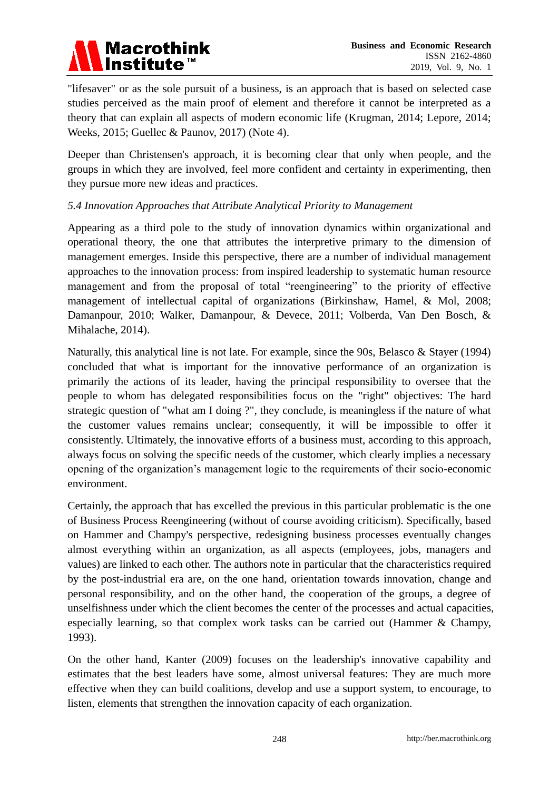

"lifesaver" or as the sole pursuit of a business, is an approach that is based on selected case studies perceived as the main proof of element and therefore it cannot be interpreted as a theory that can explain all aspects of modern economic life (Krugman, 2014; Lepore, 2014; Weeks, 2015; Guellec & Paunov, 2017) (Note 4).

Deeper than Christensen's approach, it is becoming clear that only when people, and the groups in which they are involved, feel more confident and certainty in experimenting, then they pursue more new ideas and practices.

#### *5.4 Innovation Approaches that Attribute Analytical Priority to Management*

Appearing as a third pole to the study of innovation dynamics within organizational and operational theory, the one that attributes the interpretive primary to the dimension of management emerges. Inside this perspective, there are a number of individual management approaches to the innovation process: from inspired leadership to systematic human resource management and from the proposal of total "reengineering" to the priority of effective management of intellectual capital of organizations (Birkinshaw, Hamel, & Mol, 2008; Damanpour, 2010; Walker, Damanpour, & Devece, 2011; Volberda, Van Den Bosch, & Mihalache, 2014).

Naturally, this analytical line is not late. For example, since the 90s, Belasco & Stayer (1994) concluded that what is important for the innovative performance of an organization is primarily the actions of its leader, having the principal responsibility to oversee that the people to whom has delegated responsibilities focus on the "right" objectives: The hard strategic question of "what am I doing ?", they conclude, is meaningless if the nature of what the customer values remains unclear; consequently, it will be impossible to offer it consistently. Ultimately, the innovative efforts of a business must, according to this approach, always focus on solving the specific needs of the customer, which clearly implies a necessary opening of the organization's management logic to the requirements of their socio-economic environment.

Certainly, the approach that has excelled the previous in this particular problematic is the one of Business Process Reengineering (without of course avoiding criticism). Specifically, based on Hammer and Champy's perspective, redesigning business processes eventually changes almost everything within an organization, as all aspects (employees, jobs, managers and values) are linked to each other. The authors note in particular that the characteristics required by the post-industrial era are, on the one hand, orientation towards innovation, change and personal responsibility, and on the other hand, the cooperation of the groups, a degree of unselfishness under which the client becomes the center of the processes and actual capacities, especially learning, so that complex work tasks can be carried out (Hammer & Champy, 1993).

On the other hand, Kanter (2009) focuses on the leadership's innovative capability and estimates that the best leaders have some, almost universal features: They are much more effective when they can build coalitions, develop and use a support system, to encourage, to listen, elements that strengthen the innovation capacity of each organization.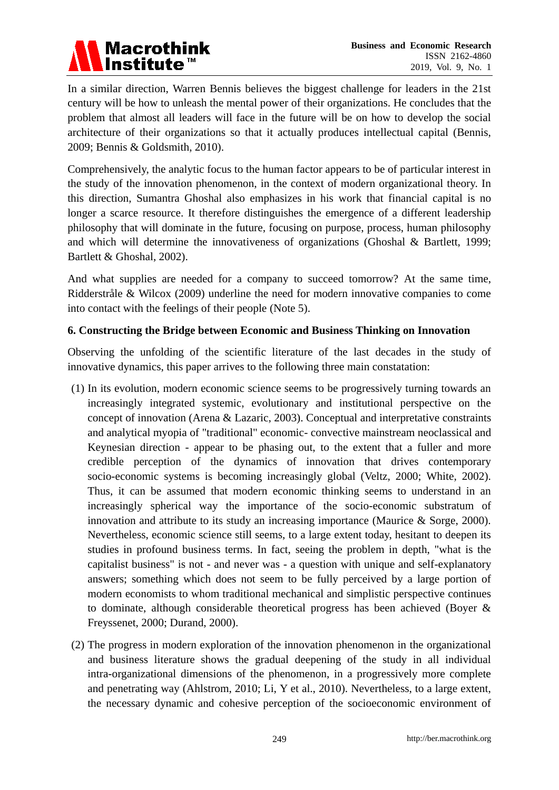# Macrothink<br>Institute™

In a similar direction, Warren Bennis believes the biggest challenge for leaders in the 21st century will be how to unleash the mental power of their organizations. He concludes that the problem that almost all leaders will face in the future will be on how to develop the social architecture of their organizations so that it actually produces intellectual capital (Bennis, 2009; Bennis & Goldsmith, 2010).

Comprehensively, the analytic focus to the human factor appears to be of particular interest in the study of the innovation phenomenon, in the context of modern organizational theory. In this direction, Sumantra Ghoshal also emphasizes in his work that financial capital is no longer a scarce resource. It therefore distinguishes the emergence of a different leadership philosophy that will dominate in the future, focusing on purpose, process, human philosophy and which will determine the innovativeness of organizations (Ghoshal & Bartlett, 1999; Bartlett & Ghoshal, 2002).

And what supplies are needed for a company to succeed tomorrow? At the same time, Ridderstråle & Wilcox (2009) underline the need for modern innovative companies to come into contact with the feelings of their people (Note 5).

# **6. Constructing the Bridge between Economic and Business Thinking on Innovation**

Observing the unfolding of the scientific literature of the last decades in the study of innovative dynamics, this paper arrives to the following three main constatation:

- (1) In its evolution, modern economic science seems to be progressively turning towards an increasingly integrated systemic, evolutionary and institutional perspective on the concept of innovation (Arena & Lazaric, 2003). Conceptual and interpretative constraints and analytical myopia of "traditional" economic- convective mainstream neoclassical and Keynesian direction - appear to be phasing out, to the extent that a fuller and more credible perception of the dynamics of innovation that drives contemporary socio-economic systems is becoming increasingly global (Veltz, 2000; White, 2002). Thus, it can be assumed that modern economic thinking seems to understand in an increasingly spherical way the importance of the socio-economic substratum of innovation and attribute to its study an increasing importance (Maurice  $\&$  Sorge, 2000). Nevertheless, economic science still seems, to a large extent today, hesitant to deepen its studies in profound business terms. In fact, seeing the problem in depth, "what is the capitalist business" is not - and never was - a question with unique and self-explanatory answers; something which does not seem to be fully perceived by a large portion of modern economists to whom traditional mechanical and simplistic perspective continues to dominate, although considerable theoretical progress has been achieved (Boyer & Freyssenet, 2000; Durand, 2000).
- (2) The progress in modern exploration of the innovation phenomenon in the organizational and business literature shows the gradual deepening of the study in all individual intra-organizational dimensions of the phenomenon, in a progressively more complete and penetrating way (Ahlstrom, 2010; Li, Y et al., 2010). Nevertheless, to a large extent, the necessary dynamic and cohesive perception of the socioeconomic environment of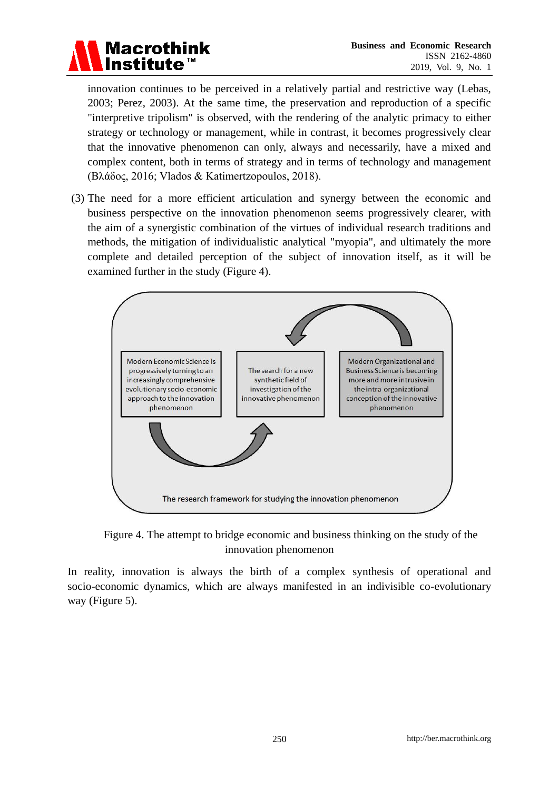

innovation continues to be perceived in a relatively partial and restrictive way (Lebas, 2003; Perez, 2003). At the same time, the preservation and reproduction of a specific "interpretive tripolism" is observed, with the rendering of the analytic primacy to either strategy or technology or management, while in contrast, it becomes progressively clear that the innovative phenomenon can only, always and necessarily, have a mixed and complex content, both in terms of strategy and in terms of technology and management (Βλάδος, 2016; Vlados & Katimertzopoulos, 2018).

(3) The need for a more efficient articulation and synergy between the economic and business perspective on the innovation phenomenon seems progressively clearer, with the aim of a synergistic combination of the virtues of individual research traditions and methods, the mitigation of individualistic analytical "myopia", and ultimately the more complete and detailed perception of the subject of innovation itself, as it will be examined further in the study (Figure 4).



Figure 4. The attempt to bridge economic and business thinking on the study of the innovation phenomenon

In reality, innovation is always the birth of a complex synthesis of operational and socio-economic dynamics, which are always manifested in an indivisible co-evolutionary way (Figure 5).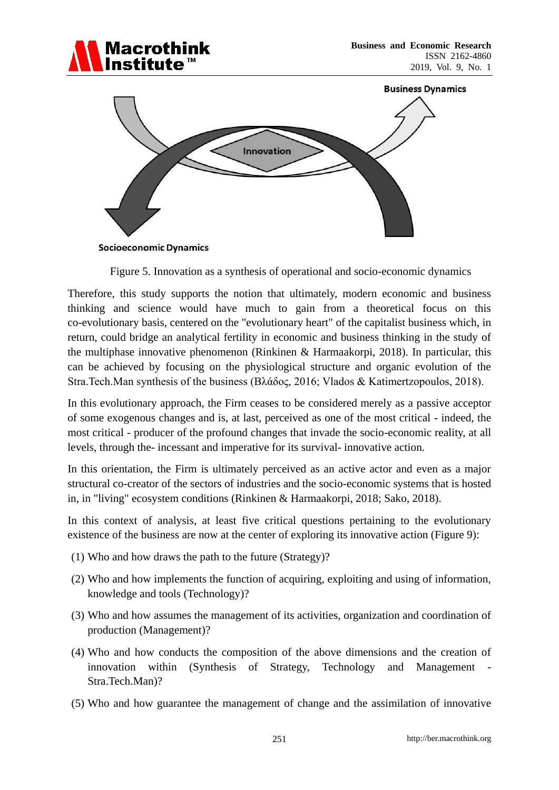



Figure 5. Innovation as a synthesis of operational and socio-economic dynamics

Therefore, this study supports the notion that ultimately, modern economic and business thinking and science would have much to gain from a theoretical focus on this co-evolutionary basis, centered on the "evolutionary heart" of the capitalist business which, in return, could bridge an analytical fertility in economic and business thinking in the study of the multiphase innovative phenomenon (Rinkinen & Harmaakorpi, 2018). In particular, this can be achieved by focusing on the physiological structure and organic evolution of the Stra.Tech.Man synthesis of the business (Βλάδος, 2016; Vlados & Katimertzopoulos, 2018).

In this evolutionary approach, the Firm ceases to be considered merely as a passive acceptor of some exogenous changes and is, at last, perceived as one of the most critical - indeed, the most critical - producer of the profound changes that invade the socio-economic reality, at all levels, through the- incessant and imperative for its survival- innovative action.

In this orientation, the Firm is ultimately perceived as an active actor and even as a major structural co-creator of the sectors of industries and the socio-economic systems that is hosted in, in "living" ecosystem conditions (Rinkinen & Harmaakorpi, 2018; Sako, 2018).

In this context of analysis, at least five critical questions pertaining to the evolutionary existence of the business are now at the center of exploring its innovative action (Figure 9):

- (1) Who and how draws the path to the future (Strategy)?
- (2) Who and how implements the function of acquiring, exploiting and using of information, knowledge and tools (Technology)?
- (3) Who and how assumes the management of its activities, organization and coordination of production (Management)?
- (4) Who and how conducts the composition of the above dimensions and the creation of innovation within (Synthesis of Strategy, Technology and Management - Stra.Tech.Man)?
- (5) Who and how guarantee the management of change and the assimilation of innovative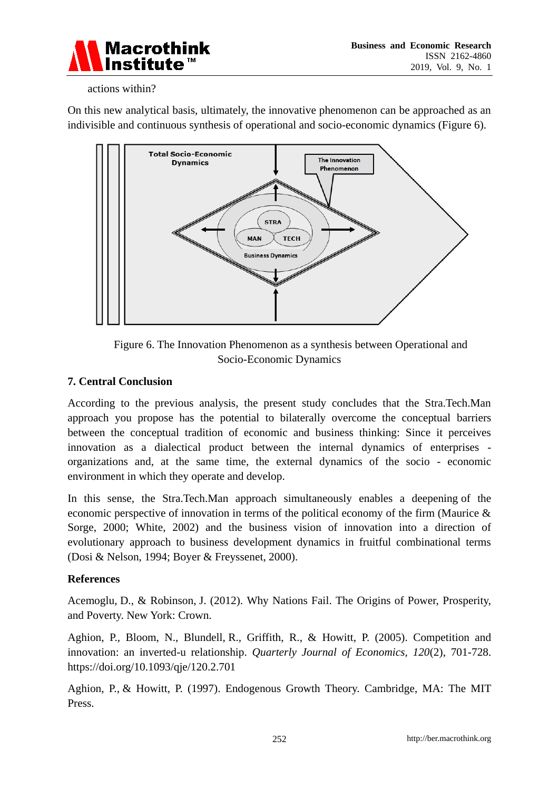

#### actions within?

On this new analytical basis, ultimately, the innovative phenomenon can be approached as an indivisible and continuous synthesis of operational and socio-economic dynamics (Figure 6).





#### **7. Central Conclusion**

According to the previous analysis, the present study concludes that the Stra.Tech.Man approach you propose has the potential to bilaterally overcome the conceptual barriers between the conceptual tradition of economic and business thinking: Since it perceives innovation as a dialectical product between the internal dynamics of enterprises organizations and, at the same time, the external dynamics of the socio - economic environment in which they operate and develop.

In this sense, the Stra.Tech.Man approach simultaneously enables a deepening of the economic perspective of innovation in terms of the political economy of the firm (Maurice & Sorge, 2000; White, 2002) and the business vision of innovation into a direction of evolutionary approach to business development dynamics in fruitful combinational terms (Dosi & Nelson, 1994; Boyer & Freyssenet, 2000).

#### **References**

Acemoglu, D., & Robinson, J. (2012). Why Nations Fail. The Origins of Power, Prosperity, and Poverty. New York: Crown.

Aghion, P., Bloom, N., Blundell, R., Griffith, R., & Howitt, P. (2005). Competition and innovation: an inverted-u relationship. *Quarterly Journal of Economics, 120*(2), 701-728. https://doi.org/10.1093/qje/120.2.701

Aghion, P., & Howitt, P. (1997). Endogenous Growth Theory. Cambridge, MA: The MIT Press.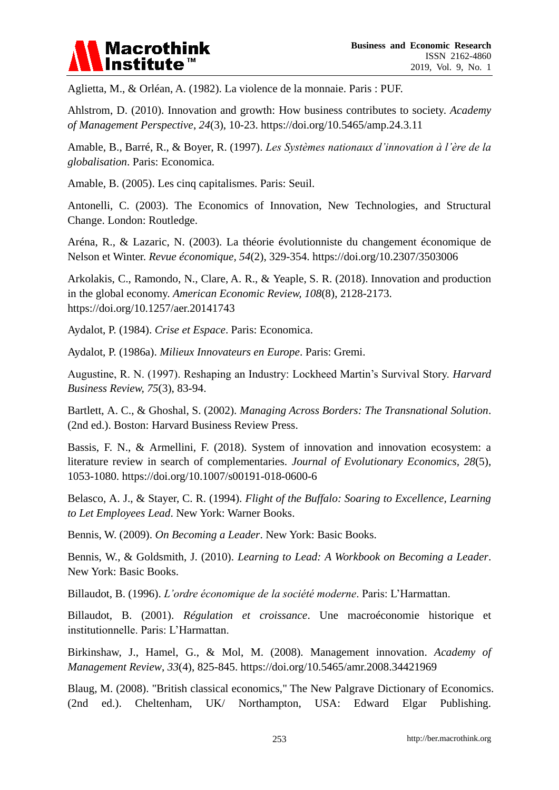

Aglietta, M., & Orléan, A. (1982). La violence de la monnaie. Paris : PUF.

Ahlstrom, D. (2010). Innovation and growth: How business contributes to society. *Academy of Management Perspective*, *24*(3), 10-23. https://doi.org/10.5465/amp.24.3.11

Amable, B., Barré, R., & Boyer, R. (1997). *Les Systèmes nationaux d'innovation à l'ère de la globalisation*. Paris: Economica.

Amable, B. (2005). Les cinq capitalismes. Paris: Seuil.

Antonelli, C. (2003). The Economics of Innovation, New Technologies, and Structural Change. London: Routledge.

Aréna, R., & Lazaric, N. (2003). La théorie évolutionniste du changement économique de Nelson et Winter. *Revue économique, 54*(2), 329-354. https://doi.org/10.2307/3503006

Arkolakis, C., Ramondo, N., Clare, A. R., & Yeaple, S. R. (2018). Innovation and production in the global economy. *American Economic Review, 108*(8), 2128-2173. https://doi.org/10.1257/aer.20141743

Aydalot, P. (1984). *Crise et Espace*. Paris: Economica.

Aydalot, P. (1986a). *Milieux Innovateurs en Europe*. Paris: Gremi.

Augustine, R. N. (1997). Reshaping an Industry: Lockheed Martin's Survival Story. *Harvard Business Review, 75*(3), 83-94.

Bartlett, A. C., & Ghoshal, S. (2002). *Managing Across Borders: The Transnational Solution*. (2nd ed.). Boston: Harvard Business Review Press.

Bassis, F. N., & Armellini, F. (2018). System of innovation and innovation ecosystem: a literature review in search of complementaries. *Journal of Evolutionary Economics, 28*(5), 1053-1080. https://doi.org/10.1007/s00191-018-0600-6

Belasco, A. J., & Stayer, C. R. (1994). *Flight of the Buffalo: Soaring to Excellence, Learning to Let Employees Lead*. New York: Warner Books.

Bennis, W. (2009). *On Becoming a Leader*. New York: Basic Books.

Bennis, W., & Goldsmith, J. (2010). *Learning to Lead: A Workbook on Becoming a Leader*. New York: Basic Books.

Billaudot, B. (1996). *L'ordre économique de la société moderne*. Paris: L'Harmattan.

Billaudot, B. (2001). *Régulation et croissance*. Une macroéconomie historique et institutionnelle. Paris: L'Harmattan.

Birkinshaw, J., Hamel, G., & Mol, M. (2008). Management innovation. *Academy of Management Review*, *33*(4), 825-845. https://doi.org/10.5465/amr.2008.34421969

Blaug, M. (2008). "British classical economics," The New Palgrave Dictionary of Economics. (2nd ed.). Cheltenham, UK/ Northampton, USA: Edward Elgar Publishing.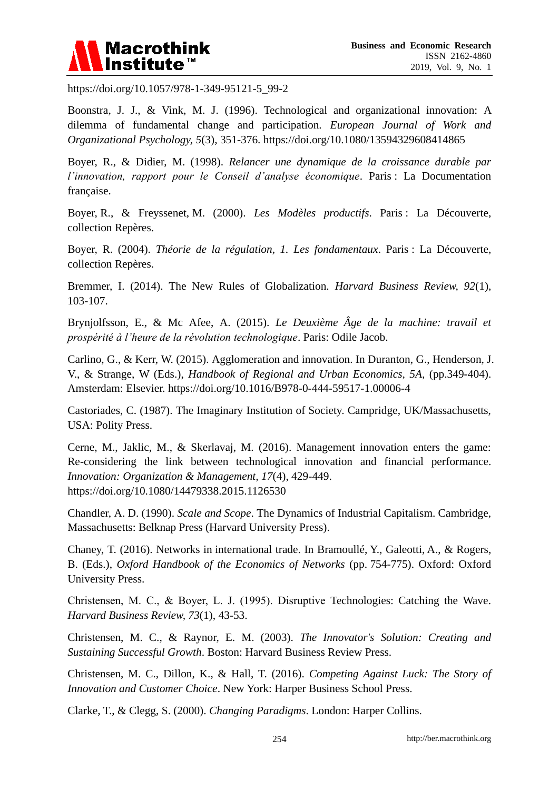

https://doi.org/10.1057/978-1-349-95121-5\_99-2

Boonstra, J. J., & Vink, M. J. (1996). Technological and organizational innovation: A dilemma of fundamental change and participation*. European Journal of Work and Organizational Psychology, 5*(3), 351-376. https://doi.org/10.1080/13594329608414865

Boyer, R., & Didier, M. (1998). *Relancer une dynamique de la croissance durable par l'innovation, rapport pour le Conseil d'analyse économique*. Paris : La Documentation fran caise.

Boyer, R., & Freyssenet, M. (2000). *Les Mod des productifs*. Paris : La Découverte, collection Repères.

Boyer, R. (2004). *Théorie de la régulation, 1. Les fondamentaux*. Paris : La Découverte, collection Repères.

Bremmer, I. (2014). The New Rules of Globalization. *Harvard Business Review, 92*(1), 103-107.

Brynjolfsson, E., & Mc Afee, A. (2015). *Le Deuxième Âge de la machine: travail et prospérité à l'heure de la révolution technologique*. Paris: Odile Jacob.

Carlino, G., & Kerr, W. (2015). Agglomeration and innovation. In Duranton, G., Henderson, J. V., & Strange, W (Eds.), *Handbook of Regional and Urban Economics, 5A,* (pp.349-404). Amsterdam: Elsevier. https://doi.org/10.1016/B978-0-444-59517-1.00006-4

Castoriades, C. (1987). The Imaginary Institution of Society. Campridge, UK/Massachusetts, USA: Polity Press.

Cerne, M., Jaklic, M., & Skerlavaj, M. (2016). Management innovation enters the game: Re-considering the link between technological innovation and financial performance. *Innovation: Organization & Management, 17*(4), 429-449. https://doi.org/10.1080/14479338.2015.1126530

Chandler, A. D. (1990). *Scale and Scope*. The Dynamics of Industrial Capitalism. Cambridge, Massachusetts: Belknap Press (Harvard University Press).

Chaney, T. (2016). Networks in international trade. In Bramoullé, Y., Galeotti, A., & Rogers, B. (Eds.), *Oxford Handbook of the Economics of Networks* (pp. 754-775). Oxford: Oxford University Press.

Christensen, Μ. C., & Boyer, L. J. (1995). Disruptive Technologies: Catching the Wave. *Harvard Business Review, 73*(1), 43-53.

Christensen, M. C., & Raynor, E. M. (2003). *The Innovator's Solution: Creating and Sustaining Successful Growth*. Boston: Harvard Business Review Press.

Christensen, M. C., Dillon, K., & Hall, T. (2016). *Competing Against Luck: The Story of Innovation and Customer Choice*. New York: Harper Business School Press.

Clarke, T., & Clegg, S. (2000). *Changing Paradigms*. London: Harper Collins.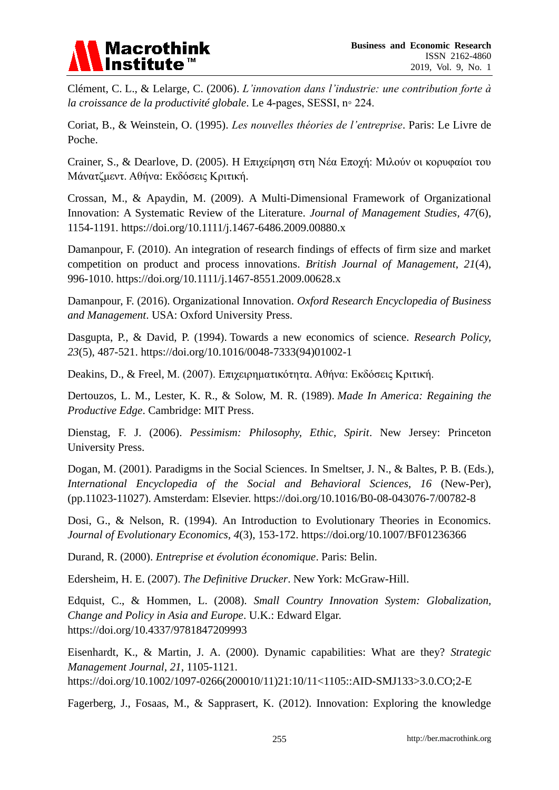

Clément, C. L., & Lelarge, C. (2006). *L'innovation dans l'industrie: une contribution forte à la croissance de la productivité globale*. Le 4-pages, SESSI, n◦ 224.

Coriat, B., & Weinstein, O. (1995). *Les nouvelles théories de l'entreprise*. Paris: Le Livre de Poche.

Crainer, S., & Dearlove, D. (2005). Η Επιχείρηση στη Νέα Εποχή: Μιλούν οι κορυφαίοι του Μάνατζμεντ. Αθήνα: Εκδόσεις Κριτική.

Crossan, M., & Apaydin, M. (2009). A Multi-Dimensional Framework of Organizational Innovation: A Systematic Review of the Literature. *Journal of Management Studies, 47*(6), 1154-1191. https://doi.org/10.1111/j.1467-6486.2009.00880.x

Damanpour, F. (2010). An integration of research findings of effects of firm size and market competition on product and process innovations. *British Journal of Management*, *21*(4), 996-1010. https://doi.org/10.1111/j.1467-8551.2009.00628.x

Damanpour, F. (2016). Organizational Innovation. *Oxford Research Encyclopedia of Business and Management*. USA: Oxford University Press.

Dasgupta, P., & David, P. (1994). Towards a new economics of science. *Research Policy, 23*(5), 487-521. https://doi.org/10.1016/0048-7333(94)01002-1

Deakins, D., & Freel, M. (2007). Επιχειρηματικότητα. Αθήνα: Εκδόσεις Κριτική.

Dertouzos, L. M., Lester, K. R., & Solow, M. R. (1989). *Made In America: Regaining the Productive Edge*. Cambridge: MIT Press.

Dienstag, F. J. (2006). *Pessimism: Philosophy, Ethic, Spirit*. New Jersey: Princeton University Press.

Dogan, M. (2001). Paradigms in the Social Sciences. In Smeltser, J. N., & Baltes, P. B. (Eds.), *International Encyclopedia of the Social and Behavioral Sciences, 16* (New-Per), (pp.11023-11027). Amsterdam: Elsevier. https://doi.org/10.1016/B0-08-043076-7/00782-8

Dosi, G., & Nelson, R. (1994). An Introduction to Evolutionary Theories in Economics. *Journal of Evolutionary Economics, 4*(3), 153-172. https://doi.org/10.1007/BF01236366

Durand, R. (2000). *Entreprise et évolution économique*. Paris: Belin.

Edersheim, H. E. (2007). *The Definitive Drucker*. New York: McGraw-Hill.

Edquist, C., & Hommen, L. (2008). *Small Country Innovation System: Globalization, Change and Policy in Asia and Europe*. U.K.: Edward Elgar. https://doi.org/10.4337/9781847209993

Eisenhardt, K., & Martin, J. A. (2000). Dynamic capabilities: What are they? *Strategic Management Journal, 21*, 1105-1121.

https://doi.org/10.1002/1097-0266(200010/11)21:10/11<1105::AID-SMJ133>3.0.CO;2-E

Fagerberg, J., Fosaas, M., & Sapprasert, K. (2012). Innovation: Exploring the knowledge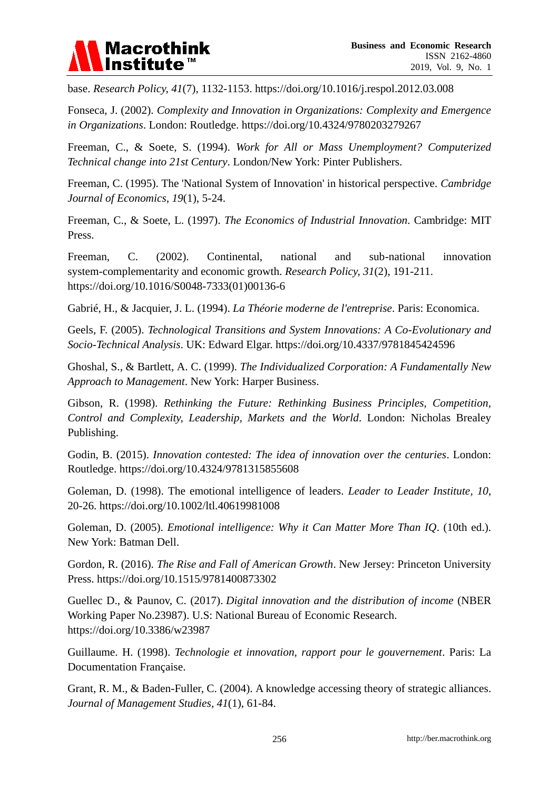

base. *Research Policy, 41*(7), 1132-1153. https://doi.org/10.1016/j.respol.2012.03.008

Fonseca, J. (2002). *Complexity and Innovation in Organizations: Complexity and Emergence in Organizations*. London: Routledge. https://doi.org/10.4324/9780203279267

Freeman, C., & Soete, S. (1994). *Work for All or Mass Unemployment? Computerized Technical change into 21st Century*. London/New York: Pinter Publishers.

Freeman, C. (1995). The 'National System of Innovation' in historical perspective. *Cambridge Journal of Economics, 19*(1), 5-24.

Freeman, C., & Soete, L. (1997). *The Economics of Industrial Innovation*. Cambridge: MIT Press.

Freeman, C. (2002). Continental, national and sub-national innovation system-complementarity and economic growth. *Research Policy, 31*(2), 191-211. https://doi.org/10.1016/S0048-7333(01)00136-6

Gabrié, H., & Jacquier, J. L. (1994). *La Théorie moderne de l'entreprise*. Paris: Economica.

Geels, F. (2005). *Technological Transitions and System Innovations: A Co-Evolutionary and Socio-Technical Analysis*. UK: Edward Elgar. https://doi.org/10.4337/9781845424596

Ghoshal, S., & Bartlett, A. C. (1999). *The Individualized Corporation: A Fundamentally New Approach to Management*. New York: Harper Business.

Gibson, R. (1998). *Rethinking the Future: Rethinking Business Principles, Competition, Control and Complexity, Leadership, Markets and the World*. London: Nicholas Brealey Publishing.

Godin, B. (2015). *Innovation contested: The idea of innovation over the centuries*. London: Routledge. https://doi.org/10.4324/9781315855608

Goleman, D. (1998). The emotional intelligence of leaders. *Leader to Leader Institute, 10*, 20-26. https://doi.org/10.1002/ltl.40619981008

Goleman, D. (2005). *Emotional intelligence: Why it Can Matter More Than IQ*. (10th ed.). New York: Batman Dell.

Gordon, R. (2016). *The Rise and Fall of American Growth*. New Jersey: Princeton University Press. https://doi.org/10.1515/9781400873302

Guellec D., & Paunov, C. (2017). *Digital innovation and the distribution of income* (NBER Working Paper No.23987). U.S: National Bureau of Economic Research. https://doi.org/10.3386/w23987

Guillaume. H. (1998). *Technologie et innovation, rapport pour le gouvernement*. Paris: La Documentation Française.

Grant, R. M., & Baden-Fuller, C. (2004). A knowledge accessing theory of strategic alliances. *Journal of Management Studies, 41*(1), 61-84.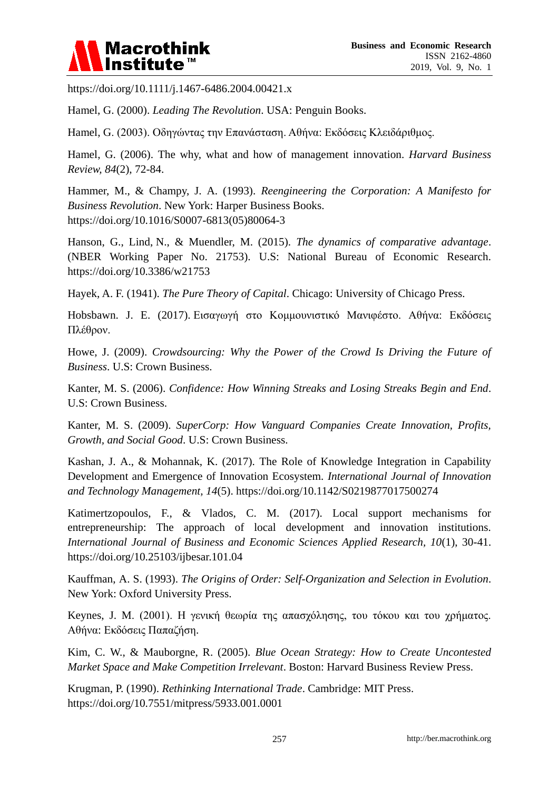

https://doi.org/10.1111/j.1467-6486.2004.00421.x

Hamel, G. (2000). *Leading The Revolution*. USA: Penguin Books.

Hamel, G. (2003). Οδηγώντας την Επανάσταση. Αθήνα: Εκδόσεις Κλειδάριθμος.

Hamel, G. (2006). The why, what and how of management innovation. *Harvard Business Review, 84*(2), 72-84.

Hammer, M., & Champy, J. A. (1993). *Reengineering the Corporation: A Manifesto for Business Revolution*. New York: Harper Business Books. https://doi.org/10.1016/S0007-6813(05)80064-3

Hanson, G., Lind, N., & Muendler, M. (2015). *The dynamics of comparative advantage*. (NBER Working Paper No. 21753). U.S: National Bureau of Economic Research. https://doi.org/10.3386/w21753

Hayek, A. F. (1941). *The Pure Theory of Capital*. Chicago: University of Chicago Press.

Hobsbawn. J. E. (2017). Εισαγωγή στο Κομμουνιστικό Μανιφέστο. Αθήνα: Εκδόσεις Πλέθρον.

Howe, J. (2009). *Crowdsourcing: Why the Power of the Crowd Is Driving the Future of Business*. U.S: Crown Business.

Kanter, M. S. (2006). *Confidence: How Winning Streaks and Losing Streaks Begin and End*. U.S: Crown Business.

Kanter, M. S. (2009). *SuperCorp: How Vanguard Companies Create Innovation, Profits, Growth, and Social Good*. U.S: Crown Business.

Kashan, J. A., & Mohannak, K. (2017). The Role of Knowledge Integration in Capability Development and Emergence of Innovation Ecosystem. *International Journal of Innovation and Technology Management, 14*(5). https://doi.org/10.1142/S0219877017500274

Katimertzopoulos, F., & Vlados, C. M. (2017). Local support mechanisms for entrepreneurship: The approach of local development and innovation institutions. *International Journal of Business and Economic Sciences Applied Research, 10*(1), 30-41. https://doi.org/10.25103/ijbesar.101.04

Kauffman, A. S. (1993). *The Origins of Order: Self-Organization and Selection in Evolution*. New York: Oxford University Press.

Keynes, J. M. (2001). Η γενική θεωρία της απασχόλησης, του τόκου και του χρήματος. Αθήνα: Εκδόσεις Παπαζήση.

Kim, C. W., & Mauborgne, R. (2005). *Blue Ocean Strategy: How to Create Uncontested Market Space and Make Competition Irrelevant*. Boston: Harvard Business Review Press.

Krugman, P. (1990). *Rethinking International Trade*. Cambridge: MIT Press. https://doi.org/10.7551/mitpress/5933.001.0001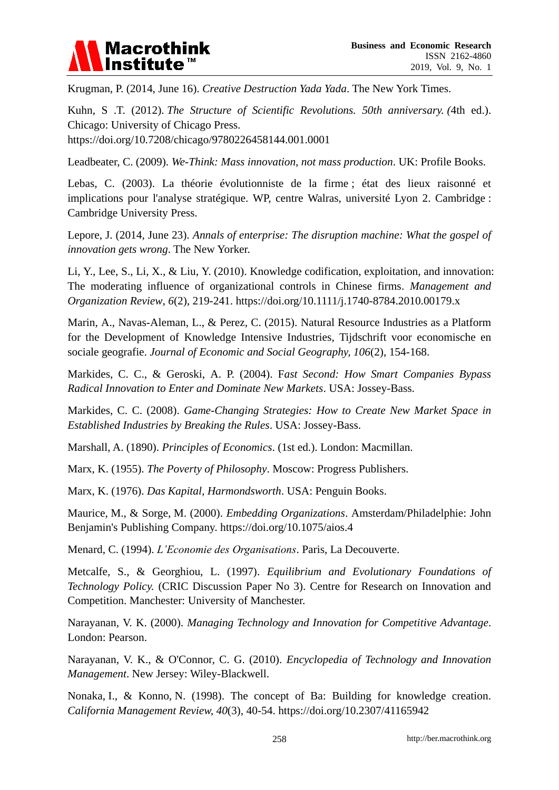

Krugman, P. (2014, June 16). *Creative Destruction Yada Yada*. The New York Times.

Kuhn, S .T. (2012). *The Structure of Scientific Revolutions. 50th anniversary. (*4th ed.). Chicago: University of Chicago Press.

https://doi.org/10.7208/chicago/9780226458144.001.0001

Leadbeater, C. (2009). *We-Think: Mass innovation, not mass production*. UK: Profile Books.

Lebas, C. (2003). La théorie évolutionniste de la firme ; état des lieux raisonné et implications pour l'analyse stratégique. WP, centre Walras, université Lyon 2. Cambridge : Cambridge University Press.

Lepore, J. (2014, June 23). *Annals of enterprise: The disruption machine: What the gospel of innovation gets wrong*. The New Yorker.

Li, Y., Lee, S., Li, X., & Liu, Y. (2010). Knowledge codification, exploitation, and innovation: The moderating influence of organizational controls in Chinese firms. *Management and Organization Review*, *6*(2), 219-241. https://doi.org/10.1111/j.1740-8784.2010.00179.x

Marin, A., Navas-Aleman, L., & Perez, C. (2015). Natural Resource Industries as a Platform for the Development of Knowledge Intensive Industries, Tijdschrift voor economische en sociale geografie. *Journal of Economic and Social Geography, 106*(2), 154-168.

Markides, C. C., & Geroski, A. P. (2004). F*ast Second: How Smart Companies Bypass Radical Innovation to Enter and Dominate New Markets*. USA: Jossey-Bass.

Markides, C. C. (2008). *Game-Changing Strategies: How to Create New Market Space in Established Industries by Breaking the Rules*. USA: Jossey-Bass.

Marshall, A. (1890). *Principles of Economics*. (1st ed.). London: Macmillan.

Marx, K. (1955). *The Poverty of Philosophy*. Moscow: Progress Publishers.

Marx, K. (1976). *Das Kapital, Harmondsworth*. USA: Penguin Books.

Maurice, M., & Sorge, M. (2000). *Embedding Organizations*. Amsterdam/Philadelphie: John Benjamin's Publishing Company. https://doi.org/10.1075/aios.4

Menard, C. (1994). *L'Economie des Organisations*. Paris, La Decouverte.

Metcalfe, S., & Georghiou, L. (1997). *Equilibrium and Evolutionary Foundations of Technology Policy.* (CRIC Discussion Paper No 3). Centre for Research on Innovation and Competition. Manchester: University of Manchester.

Narayanan, V. K. (2000). *Managing Technology and Innovation for Competitive Advantage*. London: Pearson.

Narayanan, V. K., & O'Connor, C. G. (2010). *Encyclopedia of Technology and Innovation Management*. New Jersey: Wiley-Blackwell.

Nonaka, I., & Konno, N. (1998). The concept of Ba: Building for knowledge creation. *California Management Review, 40*(3), 40-54. https://doi.org/10.2307/41165942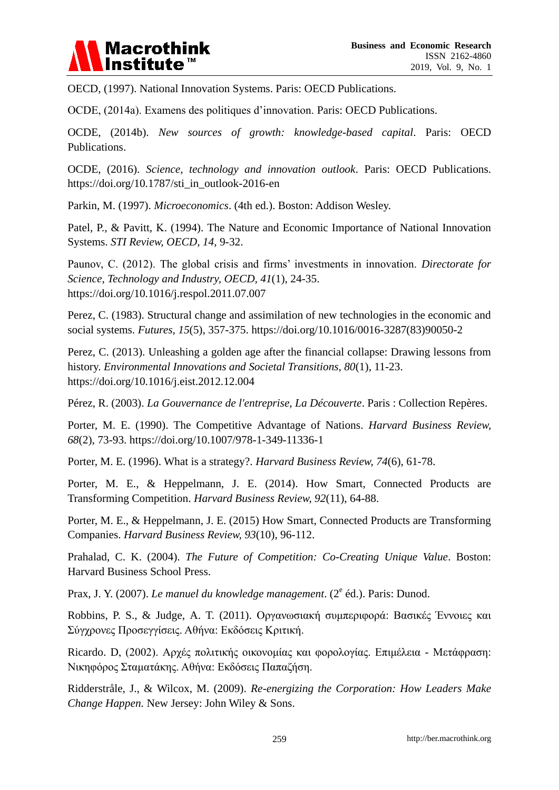

OECD, (1997). National Innovation Systems. Paris: OECD Publications.

OCDE, (2014a). Examens des politiques d'innovation. Paris: OECD Publications.

OCDE, (2014b). *New sources of growth: knowledge-based capital*. Paris: OECD Publications.

OCDE, (2016). *Science, technology and innovation outlook*. Paris: OECD Publications. https://doi.org/10.1787/sti\_in\_outlook-2016-en

Parkin, M. (1997). *Microeconomics*. (4th ed.). Boston: Addison Wesley.

Patel, P., & Pavitt, K. (1994). The Nature and Economic Importance of National Innovation Systems. *STI Review, OECD, 14*, 9-32.

Paunov, C. (2012). The global crisis and firms' investments in innovation. *Directorate for Science, Technology and Industry, OECD, 41*(1), 24-35. https://doi.org/10.1016/j.respol.2011.07.007

Perez, C. (1983). Structural change and assimilation of new technologies in the economic and social systems. *Futures, 15*(5), 357-375. https://doi.org/10.1016/0016-3287(83)90050-2

Perez, C. (2013). Unleashing a golden age after the financial collapse: Drawing lessons from history. *Environmental Innovations and Societal Transitions, 80*(1), 11-23. https://doi.org/10.1016/j.eist.2012.12.004

Pérez, R. (2003). *La Gouvernance de l'entreprise, La Découverte*. Paris : Collection Repères.

Porter, M. E. (1990). The Competitive Advantage of Nations. *Harvard Business Review, 68*(2), 73-93. https://doi.org/10.1007/978-1-349-11336-1

Porter, M. E. (1996). What is a strategy?. *Harvard Business Review, 74*(6), 61-78.

Porter, M. E., & Heppelmann, J. E. (2014). How Smart, Connected Products are Transforming Competition. *Harvard Business Review, 92*(11), 64-88.

Porter, M. E., & Heppelmann, J. E. (2015) How Smart, Connected Products are Transforming Companies. *Harvard Business Review, 93*(10), 96-112.

Prahalad, C. K. (2004). *The Future of Competition: Co-Creating Unique Value*. Boston: Harvard Business School Press.

Prax, J. Y. (2007). *Le manuel du knowledge management*. (2<sup>e</sup> éd.). Paris: Dunod.

Robbins, P. S., & Judge, A. T. (2011). Οργανωσιακή συμπεριφορά: Βασικές Έννοιες και Σύγχρονες Προσεγγίσεις. Αθήνα: Εκδόσεις Κριτική.

Ricardo. D. (2002). Αργές πολιτικής οικονομίας και φορολογίας. Επιμέλεια - Μετάφραση: Νικηφόρος Σταματάκης. Αθήνα: Εκδόσεις Παπαζήση.

Ridderstråle, J., & Wilcox, M. (2009). *Re-energizing the Corporation: How Leaders Make Change Happen.* New Jersey: John Wiley & Sons.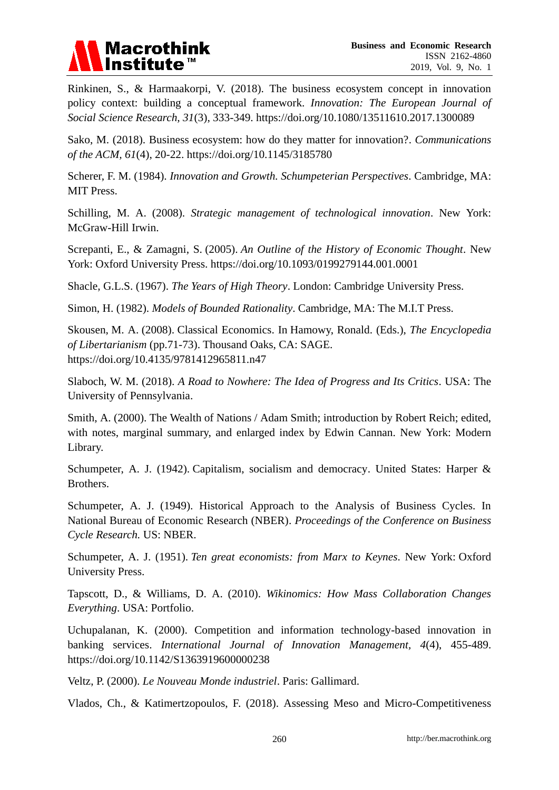

Rinkinen, S., & Harmaakorpi, V. (2018). The business ecosystem concept in innovation policy context: building a conceptual framework. *Innovation: The European Journal of Social Science Research, 31*(3), 333-349. https://doi.org/10.1080/13511610.2017.1300089

Sako, M. (2018). Business ecosystem: how do they matter for innovation?. *Communications of the ACM, 61*(4), 20-22. https://doi.org/10.1145/3185780

Scherer, F. M. (1984). *Innovation and Growth. Schumpeterian Perspectives*. Cambridge, MA: MIT Press.

Schilling, M. A. (2008). *Strategic management of technological innovation*. New York: McGraw-Hill Irwin.

Screpanti, E., & Zamagni, S. (2005). *An Outline of the History of Economic Thought*. New York: Oxford University Press. https://doi.org/10.1093/0199279144.001.0001

Shacle, G.L.S. (1967). *The Years of High Theory*. London: Cambridge University Press.

Simon, H. (1982). *Models of Bounded Rationality*. Cambridge, MA: The M.I.T Press.

Skousen, M. A. (2008). Classical Economics. In Hamowy, Ronald. (Eds.), *The Encyclopedia of Libertarianism* (pp.71-73). Thousand Oaks, CA: SAGE. https://doi.org/10.4135/9781412965811.n47

Slaboch, W. M. (2018). *A Road to Nowhere: The Idea of Progress and Its Critics*. USA: The University of Pennsylvania.

Smith, A. (2000). The Wealth of Nations / Adam Smith; introduction by Robert Reich; edited, with notes, marginal summary, and enlarged index by Edwin Cannan. New York: Modern Library.

Schumpeter, A. J. (1942). Capitalism, socialism and democracy. United States: Harper & Brothers.

Schumpeter, A. J. (1949). Historical Approach to the Analysis of Business Cycles. In National Bureau of Economic Research (NBER). *Proceedings of the Conference on Business Cycle Research.* US: NBER.

Schumpeter, A. J. (1951). *Ten great economists: from Marx to Keynes*. New York: Oxford University Press.

Tapscott, D., & Williams, D. A. (2010). *Wikinomics: How Mass Collaboration Changes Everything*. USA: Portfolio.

Uchupalanan, K. (2000). Competition and information technology-based innovation in banking services. *International Journal of Innovation Management, 4*(4), 455-489. https://doi.org/10.1142/S1363919600000238

Veltz, P. (2000). *Le Nouveau Monde industriel*. Paris: Gallimard.

Vlados, Ch., & Katimertzopoulos, F. (2018). Assessing Meso and Micro-Competitiveness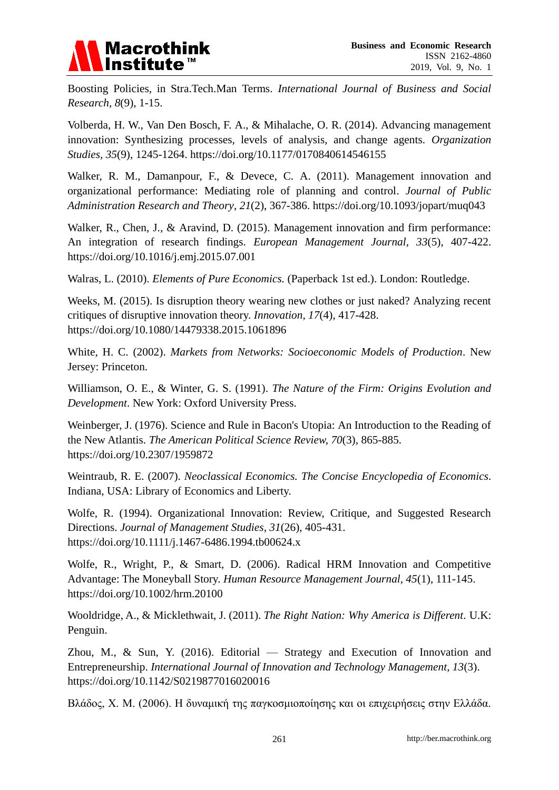

Boosting Policies, in Stra.Tech.Man Terms. *International Journal of Business and Social Research, 8*(9), 1-15.

Volberda, H. W., Van Den Bosch, F. A., & Mihalache, O. R. (2014). Advancing management innovation: Synthesizing processes, levels of analysis, and change agents. *Organization Studies, 35*(9), 1245-1264. https://doi.org/10.1177/0170840614546155

Walker, R. M., Damanpour, F., & Devece, C. A. (2011). Management innovation and organizational performance: Mediating role of planning and control. *Journal of Public Administration Research and Theory*, *21*(2), 367-386. https://doi.org/10.1093/jopart/muq043

Walker, R., Chen, J., & Aravind, D. (2015). Management innovation and firm performance: An integration of research findings. *European Management Journal, 33*(5), 407-422. https://doi.org/10.1016/j.emj.2015.07.001

Walras, L. (2010). *Elements of Pure Economics.* (Paperback 1st ed.). London: Routledge.

Weeks, M. (2015). Is disruption theory wearing new clothes or just naked? Analyzing recent critiques of disruptive innovation theory. *Innovation, 17*(4), 417-428. https://doi.org/10.1080/14479338.2015.1061896

White, H. C. (2002). *Markets from Networks: Socioeconomic Models of Production*. New Jersey: Princeton.

Williamson, O. E., & Winter, G. S. (1991). *The Nature of the Firm: Origins Evolution and Development*. New York: Oxford University Press.

Weinberger, J. (1976). Science and Rule in Bacon's Utopia: An Introduction to the Reading of the New Atlantis. *The American Political Science Review, 70*(3), 865-885. https://doi.org/10.2307/1959872

Weintraub, R. E. (2007). *Neoclassical Economics. The Concise Encyclopedia of Economics*. Indiana, USA: Library of Economics and Liberty.

Wolfe, R. (1994). Organizational Innovation: Review, Critique, and Suggested Research Directions. *Journal of Management Studies, 31*(26), 405-431. https://doi.org/10.1111/j.1467-6486.1994.tb00624.x

Wolfe, R., Wright, P., & Smart, D. (2006). Radical HRM Innovation and Competitive Advantage: The Moneyball Story. *Human Resource Management Journal, 45*(1), 111-145. https://doi.org/10.1002/hrm.20100

Wooldridge, A., & Micklethwait, J. (2011). *The Right Nation: Why America is Different*. U.K: Penguin.

Zhou, M., & Sun, Y. (2016). Editorial — Strategy and Execution of Innovation and Entrepreneurship. *International Journal of Innovation and Technology Management, 13*(3). https://doi.org/10.1142/S0219877016020016

Βλάδος, Χ. Μ. (2006). Η δυναμική της παγκοσμιοποίησης και οι επιχειρήσεις στην Ελλάδα.